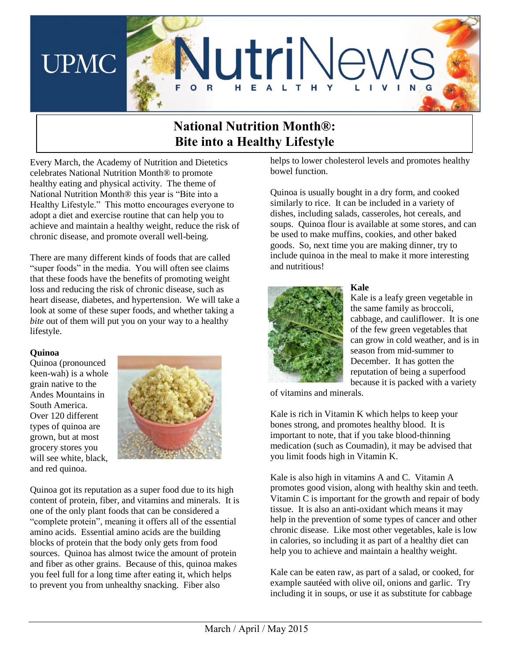

# **National Nutrition Month®: Bite into a Healthy Lifestyle**

Every March, the Academy of Nutrition and Dietetics celebrates National Nutrition Month® to promote healthy eating and physical activity. The theme of National Nutrition Month® this year is "Bite into a Healthy Lifestyle." This motto encourages everyone to adopt a diet and exercise routine that can help you to achieve and maintain a healthy weight, reduce the risk of chronic disease, and promote overall well-being.

There are many different kinds of foods that are called "super foods" in the media. You will often see claims that these foods have the benefits of promoting weight loss and reducing the risk of chronic disease, such as heart disease, diabetes, and hypertension. We will take a look at some of these super foods, and whether taking a *bite* out of them will put you on your way to a healthy lifestyle.

# **Quinoa**

Quinoa (pronounced keen-wah) is a whole grain native to the Andes Mountains in South America. Over 120 different types of quinoa are grown, but at most grocery stores you will see white, black, and red quinoa.



Quinoa got its reputation as a super food due to its high content of protein, fiber, and vitamins and minerals. It is one of the only plant foods that can be considered a "complete protein", meaning it offers all of the essential amino acids. Essential amino acids are the building blocks of protein that the body only gets from food sources. Quinoa has almost twice the amount of protein and fiber as other grains. Because of this, quinoa makes you feel full for a long time after eating it, which helps to prevent you from unhealthy snacking. Fiber also

helps to lower cholesterol levels and promotes healthy bowel function.

Quinoa is usually bought in a dry form, and cooked similarly to rice. It can be included in a variety of dishes, including salads, casseroles, hot cereals, and soups. Quinoa flour is available at some stores, and can be used to make muffins, cookies, and other baked goods. So, next time you are making dinner, try to include quinoa in the meal to make it more interesting and nutritious!



# **Kale**

Kale is a leafy green vegetable in the same family as broccoli, cabbage, and cauliflower. It is one of the few green vegetables that can grow in cold weather, and is in season from mid-summer to December. It has gotten the reputation of being a superfood because it is packed with a variety

of vitamins and minerals.

Kale is rich in Vitamin K which helps to keep your bones strong, and promotes healthy blood. It is important to note, that if you take blood-thinning medication (such as Coumadin), it may be advised that you limit foods high in Vitamin K.

Kale is also high in vitamins A and C. Vitamin A promotes good vision, along with healthy skin and teeth. Vitamin C is important for the growth and repair of body tissue. It is also an anti-oxidant which means it may help in the prevention of some types of cancer and other chronic disease. Like most other vegetables, kale is low in calories, so including it as part of a healthy diet can help you to achieve and maintain a healthy weight.

Kale can be eaten raw, as part of a salad, or cooked, for example sautéed with olive oil, onions and garlic. Try including it in soups, or use it as substitute for cabbage